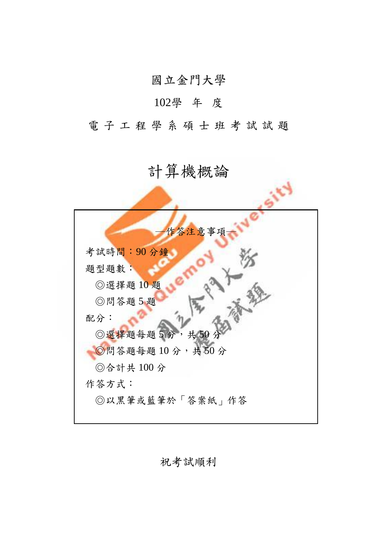國立金門大學

## 102學 年 度

電子工程學系碩士班考試試題

## 計算機概論

| 作答注意事項          |
|-----------------|
| 考試時間:90分鐘       |
| 題型題數:           |
| ◎選擇題10題         |
| ◎問答題5題          |
| 配分:             |
| ◎選擇題每題5分,共50分   |
| ◎問答題每題10分,共50分  |
| ◎合計共100分        |
| 作答方式:           |
| ◎以黑筆或藍筆於「答案紙」作答 |
|                 |

祝考試順利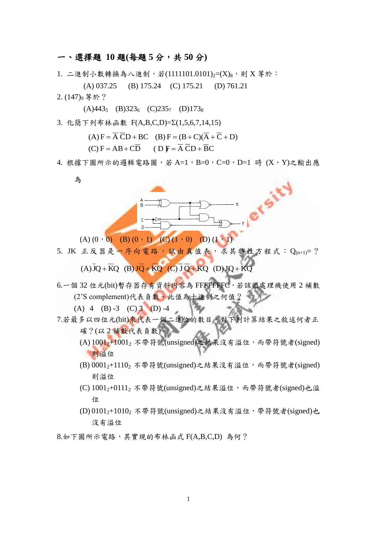## 一、選擇題 **10** 題**(**每題 **5** 分,共 **50** 分**)**

- 1. 二進制小數轉換為八進制,若(1111101.0101)2=(X)g,則 X 等於:
	- (A) 037.25 (B) 175.24 (C) 175.21 (D) 761.21
- $2. (147)$ g 等於?

 $(A)443<sub>5</sub>$  (B)323<sub>6</sub> (C)235<sub>7</sub> (D)173<sub>8</sub>

3. 化簡下列布林函數 F(A,B,C,D)=Σ(1,5,6,7,14,15)

$$
(A) F = \overline{A} \ \overline{C} D + BC \quad (B) F = (B + C)(\overline{A} + \overline{C} + D)
$$

 $(C) F = AB + C\overline{D}$  (D) $F = \overline{A} \overline{C}D + \overline{B}C$ 

4. 根據下圖所示的邏輯電路圖,若 A=1, B=0, C=0, D=1 時 (X, Y)之輸出應

為



 $(A) (0,0) (B) (0,1) (C) (1,0) (D) (1,1)$ 

5. JK 正反器是一序向電路,試由真值表,求其特性方程式: Q(n+1)=?

 $(A)$ JO + KO  $(B)$ JO + KO  $(C)$ JO + KO  $(D)$ JO + KO

6.一個 32 位元(bit)暫存器存有資料內容為 FFFFFFFC,若該微處理機使用 2 補數 (2'S complement)代表負數,此值為十進制之何值?

(A) 4 (B) -3 (C) 3 (D) -4

- 7.若最多以四位元(bit)來代表一個二進位的數目,對下列計算結果之敘述何者正 確?(以2補數代表負數)
	- (A)  $1001$ <sub>2</sub>+ $1001$ <sub>2</sub> 不帶符號(unsigned)之結果沒有溢位,而帶符號者(signed) 則溢位
	- (B)  $0001$ <sub>2</sub>+1110<sub>2</sub> 不帶符號(unsigned)之結果沒有溢位,而帶符號者(signed) 則溢位
	- (C) 1001<sub>2</sub>+0111<sub>2</sub> 不帶符號(unsigned)之結果溢位,而帶符號者(signed)也溢 位
	- (D) 01012+10102 不帶符號(unsigned)之結果沒有溢位,帶符號者(signed)也 沒有溢位
- 8.如下圖所示電路,其實現的布林函式 F(A,B,C,D) 為何?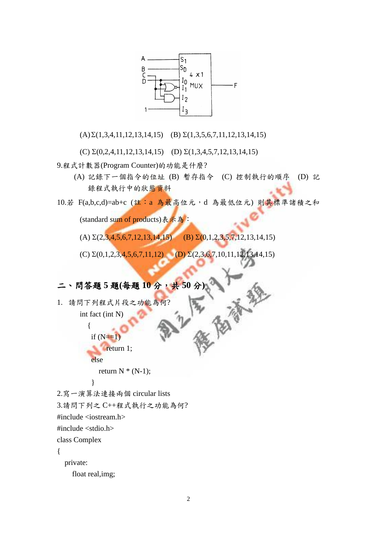

 $(A)\Sigma(1,3,4,11,12,13,14,15)$  (B)  $\Sigma(1,3,5,6,7,11,12,13,14,15)$ 

(C)  $\Sigma(0,2,4,11,12,13,14,15)$  (D)  $\Sigma(1,3,4,5,7,12,13,14,15)$ 

9.程式計數器(Program Counter)的功能是什麼?

- (A) 記錄下一個指令的位址 (B) 暫存指令 (C) 控制執行的順序 (D) 記 錄程式執行中的狀態資料
- 10.若 F(a,b,c,d)=ab+c (註:a 為最高位元,d 為最低位元) 則其標準諸積之和 (standard sum of products)表示為:

(A)  $\Sigma(2,3,4,5,6,7,12,13,14,15)$  (B)  $\Sigma(0,1,2,3,5,7,12,13,14,15)$ 

(C)  $\Sigma(0,1,2,3,4,5,6,7,11,12)$  (D)  $\Sigma(2,3,6,7,10,11,12,13,14,15)$ 

二、問答題 5 題(每題 10分,共50分)<br>1. 請問下列程式片段之功能為何?<br>int fact (int N) 1. 請問下列程式片段之功能為何? int fact (int N)

 $\left\{ \begin{array}{c} \end{array} \right\}$ if  $(N=1)$ return 1; else

return  $N * (N-1)$ ;

}

2.寫一演算法連接兩個 circular lists

3.請問下列之 C++程式執行之功能為何?

#include <iostream.h>

#include <stdio.h>

class Complex

{

private:

float real,img;